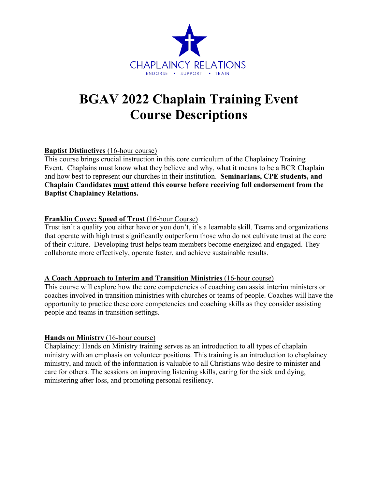

# **BGAV 2022 Chaplain Training Event Course Descriptions**

## **Baptist Distinctives** (16-hour course)

This course brings crucial instruction in this core curriculum of the Chaplaincy Training Event. Chaplains must know what they believe and why, what it means to be a BCR Chaplain and how best to represent our churches in their institution. **Seminarians, CPE students, and Chaplain Candidates must attend this course before receiving full endorsement from the Baptist Chaplaincy Relations.**

#### **Franklin Covey: Speed of Trust** (16-hour Course)

Trust isn't a quality you either have or you don't, it's a learnable skill. Teams and organizations that operate with high trust significantly outperform those who do not cultivate trust at the core of their culture. Developing trust helps team members become energized and engaged. They collaborate more effectively, operate faster, and achieve sustainable results.

#### **A Coach Approach to Interim and Transition Ministries** (16-hour course)

This course will explore how the core competencies of coaching can assist interim ministers or coaches involved in transition ministries with churches or teams of people. Coaches will have the opportunity to practice these core competencies and coaching skills as they consider assisting people and teams in transition settings.

## **Hands on Ministry (16-hour course)**

Chaplaincy: Hands on Ministry training serves as an introduction to all types of chaplain ministry with an emphasis on volunteer positions. This training is an introduction to chaplaincy ministry, and much of the information is valuable to all Christians who desire to minister and care for others. The sessions on improving listening skills, caring for the sick and dying, ministering after loss, and promoting personal resiliency.